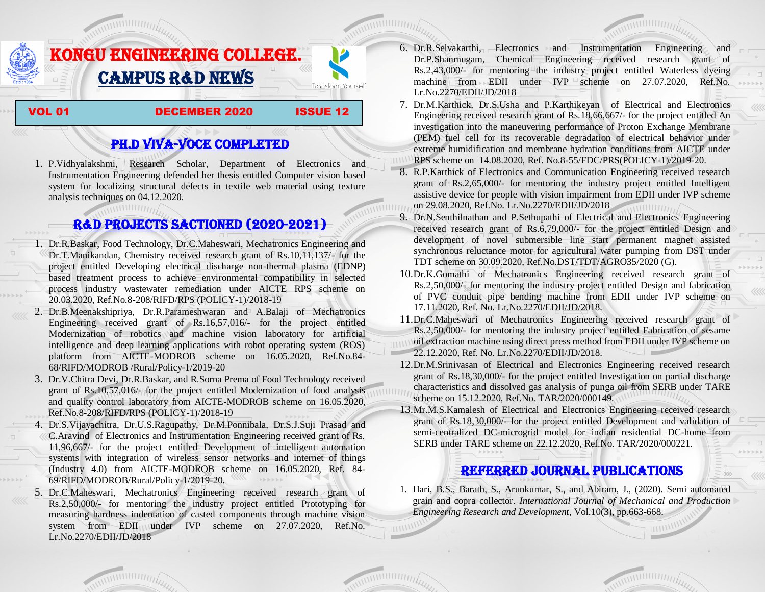

## PH.D VIVA-VOCE COMPLETED

1. P.Vidhyalakshmi, Research Scholar, Department of Electronics and Instrumentation Engineering defended her thesis entitled Computer vision based system for localizing structural defects in textile web material using texture analysis techniques on 04.12.2020.

## R&D PROJECTS SACTIONED (2020-2021)

- 1. Dr.R.Baskar, Food Technology, Dr.C.Maheswari, Mechatronics Engineering and Dr.T.Manikandan, Chemistry received research grant of Rs.10,11,137/- for the project entitled Developing electrical discharge non-thermal plasma (EDNP) based treatment process to achieve environmental compatibility in selected process industry wastewater remediation under AICTE RPS scheme on 20.03.2020, Ref.No.8-208/RIFD/RPS (POLICY-1)/2018-19
- 2. Dr.B.Meenakshipriya, Dr.R.Parameshwaran and A.Balaji of Mechatronics Engineering received grant of Rs.16,57,016/- for the project entitled Modernization [of robotics and machine vision laboratory for artificial](http://rnd.kongu.edu/ractivities/mts/data/)  [intelligence and deep learning applications with robot operating system \(ROS\)](http://rnd.kongu.edu/ractivities/mts/data/)  [platform](http://rnd.kongu.edu/ractivities/mts/data/) from AICTE-MODROB scheme on 16.05.2020, Ref.No.84- 68/RIFD/MODROB /Rural/Policy-1/2019-20
- 3. Dr.V.Chitra Devi, Dr.R.Baskar, and R.Sorna Prema of Food Technology received grant of Rs.10,57,016/- for the project entitled Modernization of food analysis and quality control laboratory from AICTE-MODROB scheme on 16.05.2020, Ref.No.8-208/RIFD/RPS (POLICY-1)/2018-19
- 4. Dr.S.Vijayachitra, Dr.U.S.Ragupathy, Dr.M.Ponnibala, Dr.S.J.Suji Prasad and C.Aravind of Electronics and Instrumentation Engineering received grant of Rs. 11,96,667/- for the project entitled Development of intelligent automation systems with integration of wireless sensor networks and internet of things (Industry 4.0) from AICTE-MODROB scheme on 16.05.2020, Ref. 84- 69/RIFD/MODROB/Rural/Policy-1/2019-20.  $\mathbb{P}\to\mathbb{P}\to\mathbb{P}\to\mathbb{P}$
- 5. Dr.C.Maheswari, Mechatronics Engineering received research grant of Rs.2,50,000/- for mentoring the industry project entitled [Prototyping for](http://rnd.kongu.edu/ractivities/mts/data/)  [measuring hardness indentation of casted components through machine vision](http://rnd.kongu.edu/ractivities/mts/data/)  [system](http://rnd.kongu.edu/ractivities/mts/data/) from EDII under IVP scheme on 27.07.2020, Ref.No. Lr.No.2270/EDII/JD/2018
- 6. Dr.R.Selvakarthi, Electronics and Instrumentation Engineering and Dr.P.Shanmugam, Chemical Engineering received research grant of  $Rs.2,43,000/$ - for mentoring the industry project entitled Waterless dyeing machine from EDII under IVP scheme on  $27.07.2020$ , Ref.No. Lr.No.2270/EDII/JD/2018
- 7. Dr.M.Karthick, Dr.S.Usha and P.Karthikeyan of Electrical and Electronics Engineering received research grant of Rs.18,66,667/- for the project entitled An investigation into the maneuvering performance of Proton Exchange Membrane (PEM) fuel cell for its recoverable degradation of electrical behavior under extreme humidification and membrane hydration conditions from AICTE under RPS scheme on 14.08.2020, Ref. No.8-55/FDC/PRS(POLICY-1)/2019-20.
- 8. R.P.Karthick of Electronics and Communication Engineering received research grant of Rs.2,65,000/- for mentoring the industry project entitled Intelligent assistive device for people with vision impairment from EDII under IVP scheme on 29.08.2020, Ref.No. Lr.No.2270/EDII/JD/2018
- 9. Dr.N.Senthilnathan and P.Sethupathi of Electrical and Electronics Engineering received research grant of Rs.6,79,000/- for the project entitled Design and development of novel submersible line start permanent magnet assisted synchronous reluctance motor for agricultural water pumping from DST under TDT scheme on 30.09.2020, Ref.No.DST/TDT/AGRO35/2020 (G).
- 10.Dr.K.Gomathi of Mechatronics Engineering received research grant of Rs.2,50,000/- for mentoring the industry project entitled Design and fabrication of PVC conduit pipe bending machine from EDII under IVP scheme on 17.11.2020, Ref. No. Lr.No.2270/EDII/JD/2018.
- 11.Dr.C.Maheswari of Mechatronics Engineering received research grant of Rs.2,50,000/- for mentoring the industry project entitled Fabrication of sesame oil extraction machine using direct press method from EDII under IVP scheme on 22.12.2020, Ref. No. Lr.No.2270/EDII/JD/2018.
- 12.Dr.M.Srinivasan of Electrical and Electronics Engineering received research grant of Rs.18,30,000/- for the project entitled Investigation on partial discharge characteristics and dissolved gas analysis of punga oil from SERB under TARE scheme on 15.12.2020, Ref.No. TAR/2020/000149.
- 13.Mr.M.S.Kamalesh of Electrical and Electronics Engineering received research grant of Rs.18,30,000/- for the project entitled Development and validation of semi-centralized DC-microgrid model for indian residential DC-home from SERB under TARE scheme on 22.12.2020, Ref.No. TAR/2020/000221.

## Referred JOURNAL publications

1. Hari, B.S., Barath, S., Arunkumar, S., and Abiram, J., (2020). Semi automated grain and copra collector. *International Journal of Mechanical and Production Engineering Research and Development*, Vol.10(3), pp.663-668.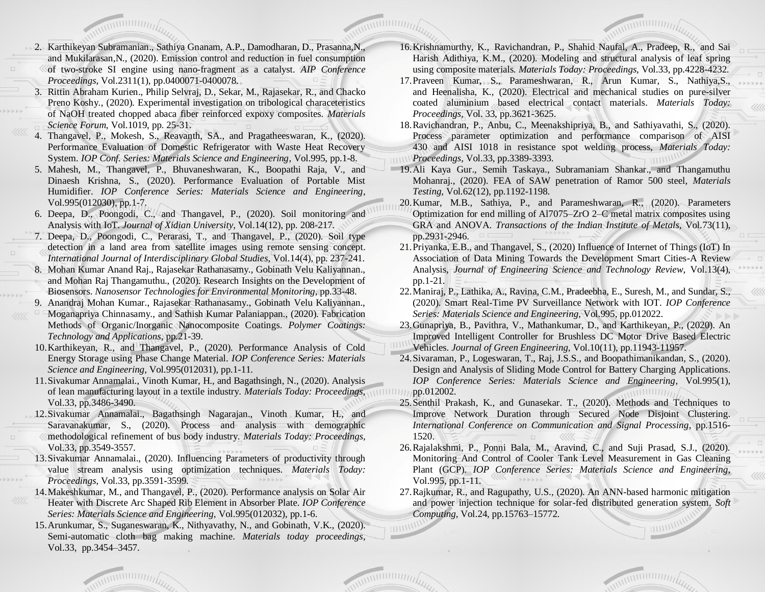- 2. Karthikeyan Subramanian., Sathiya Gnanam, A.P., Damodharan, D., Prasanna,N., and Mukilarasan,N., (2020). Emission control and reduction in fuel consumption of two-stroke SI engine using nano-fragment as a catalyst. *AIP Conference Proceedings*, Vol.2311(1), pp.0400071-0400078.
- 3. Rittin Abraham Kurien., Philip Selvraj, D., Sekar, M., Rajasekar, R., and Chacko Preno Koshy., (2020). Experimental investigation on tribological characeteristics of NaOH treated chopped abaca fiber reinforced expoxy composites. *Materials Science Forum*, Vol.1019, pp. 25-31.
- 4. Thangavel, P., Mokesh, S., Reavanth, SA., and Pragatheeswaran, K., (2020). Performance Evaluation of Domestic Refrigerator with Waste Heat Recovery System. *IOP Conf. Series: Materials Science and Engineering*, Vol.995, pp.1-8.
- 5. Mahesh, M., Thangavel, P., Bhuvaneshwaran, K., Boopathi Raja, V., and Dinaesh Krishna, S., (2020). Performance Evaluation of Portable Mist Humidifier. *IOP Conference Series: Materials Science and Engineering*, Vol.995(012030), pp.1-7.
- 6. Deepa, D., Poongodi, C., and Thangavel, P., (2020). Soil monitoring and Analysis with IoT. *Journal of Xidian University*, Vol.14(12), pp. 208-217.
- 7. Deepa, D., Poongodi, C., Perarasi, T., and Thangavel, P., (2020). Soil type detection in a land area from satellite images using remote sensing concept. *International Journal of Interdisciplinary Global Studies*, Vol.14(4), pp. 237-241.
- 8. Mohan Kumar Anand Raj., Rajasekar Rathanasamy., Gobinath Velu Kaliyannan., and Mohan Raj Thangamuthu., (2020). Research Insights on the Development of Biosensors. *Nanosensor Technologies for Environmental Monitoring*, pp.33-48.
- 9. Anandraj Mohan Kumar., Rajasekar Rathanasamy., Gobinath Velu Kaliyannan., Moganapriya Chinnasamy., and Sathish Kumar Palaniappan., (2020). Fabrication Methods of Organic/Inorganic Nanocomposite Coatings. *Polymer Coatings: Technology and Applications*, pp.21-39.
- 10.Karthikeyan, R., and Thangavel, P., (2020). Performance Analysis of Cold Energy Storage using Phase Change Material. *IOP Conference Series: Materials Science and Engineering*, Vol.995(012031), pp.1-11.
- 11.Sivakumar Annamalai., Vinoth Kumar, H., and Bagathsingh, N., (2020). Analysis of lean manufacturing layout in a textile industry. *Materials Today: Proceedings,* Vol.33, pp.3486-3490.
- 12.Sivakumar Annamalai., Bagathsingh Nagarajan., Vinoth Kumar, H., and Saravanakumar, S., (2020). Process and analysis with demographic methodological refinement of bus body industry. *Materials Today: Proceedings*, Vol.33, pp.3549-3557.
- 13.Sivakumar Annamalai., (2020). Influencing Parameters of productivity through value stream analysis using optimization techniques. *Materials Today: Proceedings*, Vol.33, pp.3591-3599.
- 14.Makeshkumar, M., and Thangavel, P., (2020). Performance analysis on Solar Air Heater with Discrete Arc Shaped Rib Element in Absorber Plate. *IOP Conference Series: Materials Science and Engineering*, Vol.995(012032), pp.1-6.
- 15.Arunkumar, S., Suganeswaran, K., Nithyavathy, N., and Gobinath, V.K., (2020). Semi-automatic cloth bag making machine. *Materials today proceedings*, Vol.33, pp.3454–3457.
- 16.Krishnamurthy, K., Ravichandran, P., Shahid Naufal, A., Pradeep, R., and Sai Harish Adithiya, K.M., (2020). Modeling and structural analysis of leaf spring using composite materials. *Materials Today: Proceedings*, Vol.33, pp.4228-4232.
- 17.Praveen Kumar, S., Parameshwaran, R., Arun Kumar, S., Nathiya,S., and Heenalisha, K., (2020). Electrical and mechanical studies on pure-silver coated aluminium based electrical contact materials. *Materials Today: Proceedings,* Vol. 33, pp.3621-3625.
- 18.Ravichandran, P., Anbu, C., Meenakshipriya, B., and Sathiyavathi, S., (2020). Process parameter optimization and performance comparison of AISI 430 and AISI 1018 in resistance spot welding process, *Materials Today: Proceedings*, Vol.33, pp.3389-3393.
- 19.Ali Kaya Gur., Semih Taskaya., Subramaniam Shankar., and Thangamuthu Mohanraj., (2020). FEA of SAW penetration of Ramor 500 steel, *Materials Testing*, Vol.62(12), pp.1192-1198.
- 20.Kumar, M.B., Sathiya, P., and Parameshwaran, R., (2020). Parameters Optimization for end milling of Al7075–ZrO 2–C metal matrix composites using GRA and ANOVA. *Transactions of the Indian Institute of Metals*, Vol.73(11), pp.2931-2946.
- 21.Priyanka, E.B., and Thangavel, S., (2020) Influence of Internet of Things (IoT) In Association of Data Mining Towards the Development Smart Cities-A Review Analysis, *Journal of Engineering Science and Technology Review*, Vol.13(4), pp.1-21.
- 22.Maniraj, P., Lathika, A., Ravina, C.M., Pradeebha, E., Suresh, M., and Sundar, S., (2020). Smart Real-Time PV Surveillance Network with IOT. *IOP Conference Series: Materials Science and Engineering*, Vol.995, pp.012022.
- 23.Gunapriya, B., Pavithra, V., Mathankumar, D., and Karthikeyan, P., (2020). An Improved Intelligent Controller for Brushless DC Motor Drive Based Electric Vehicles. *Journal of Green Engineering*, Vol.10(11), pp.11943-11957.
- 24.Sivaraman, P., Logeswaran, T., Raj, J.S.S., and Boopathimanikandan, S., (2020). Design and Analysis of Sliding Mode Control for Battery Charging Applications. *IOP Conference Series: Materials Science and Engineering*, Vol.995(1), ||||||||<sub>||pp.012002.</sub>
	- 25.Senthil Prakash, K., and Gunasekar. T., (2020). Methods and Techniques to Improve Network Duration through Secured Node Disjoint Clustering. *International Conference on Communication and Signal Processing*, pp.1516- 1520.
	- 26.Rajalakshmi, P., Ponni Bala, M., Aravind, C., and Suji Prasad, S.J., (2020). Monitoring And Control of Cooler Tank Level Measurement in Gas Cleaning Plant (GCP). *IOP Conference Series: Materials Science and Engineering*, Vol.995, pp.1-11.  $\mathbb{R}\to\mathbb{R}\to\mathbb{R}\to\mathbb{R}$
	- 27.Rajkumar, R., and Ragupathy, U.S., (2020). An ANN-based harmonic mitigation and power injection technique for solar-fed distributed generation system. *Soft Computing*, Vol.24, pp.15763–15772.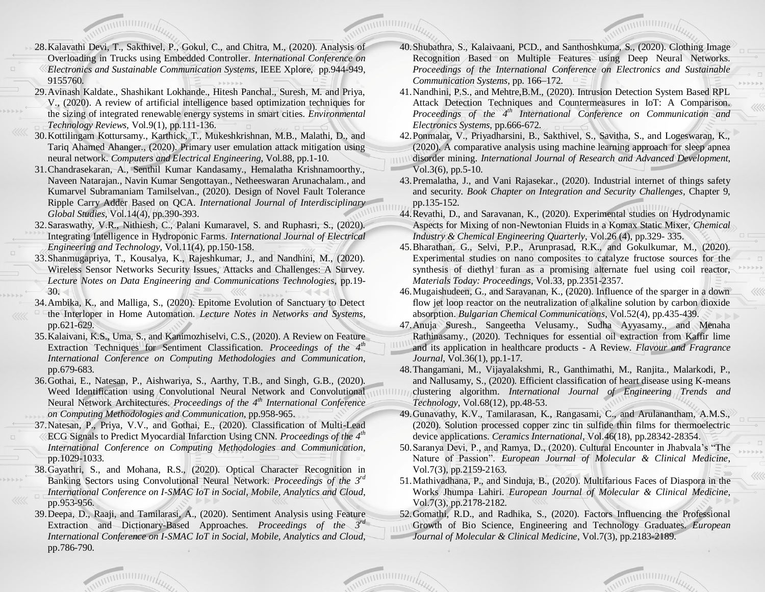- 28.Kalavathi Devi, T., Sakthivel, P., Gokul, C., and Chitra, M., (2020). Analysis of Overloading in Trucks using Embedded Controller. *International Conference on Electronics and Sustainable Communication Systems*, IEEE Xplore, pp.944-949, 9155760.
- 29.Avinash Kaldate., Shashikant Lokhande., Hitesh Panchal., Suresh, M. and Priya, V., (2020). A review of artificial intelligence based optimization techniques for the sizing of integrated renewable energy systems in smart cities. *Environmental Technology Reviews,* Vol.9(1), pp.111-136.
- 30.Kottilingam Kottursamy., Karthick, T., Mukeshkrishnan, M.B., Malathi, D., and Tariq Ahamed Ahanger., (2020). Primary user emulation attack mitigation using neural network. *Computers and Electrical Engineering*, Vol.88, pp.1-10.
- 31.Chandrasekaran, A., Senthil Kumar Kandasamy., Hemalatha Krishnamoorthy., Naveen Natarajan., Navin Kumar Sengottayan., Netheeswaran Arunachalam., and Kumarvel Subramaniam Tamilselvan., (2020). Design of Novel Fault Tolerance Ripple Carry Adder Based on QCA. *International Journal of Interdisciplinary Global Studies*, Vol.14(4), pp.390-393.
- 32.Saraswathy, V.R., Nithiesh, C., Palani Kumaravel, S. and Ruphasri, S., (2020). Integrating Intelligence in Hydroponic Farms. *International Journal of Electrical Engineering and Technology*, Vol.11(4), pp.150-158.
- 33.Shanmugapriya, T., Kousalya, K., Rajeshkumar, J., and Nandhini, M., (2020). Wireless Sensor Networks Security Issues, Attacks and Challenges: A Survey. *Lecture Notes on Data Engineering and Communications Technologies*, pp.19- 30.
- 34.Ambika, K., and Malliga, S., (2020). Epitome Evolution of Sanctuary to Detect the Interloper in Home Automation. *Lecture Notes in Networks and Systems*, pp.621-629.
- 35.Kalaivani, K.S., Uma, S., and Kanimozhiselvi, C.S., (2020). A Review on Feature Extraction Techniques for Sentiment Classification. *Proceedings of the 4th International Conference on Computing Methodologies and Communication*, pp.679-683.
- 36.Gothai, E., Natesan, P., Aishwariya, S., Aarthy, T.B., and Singh, G.B., (2020). Weed Identification using Convolutional Neural Network and Convolutional Neural Network Architectures. *Proceedings of the 4th International Conference on Computing Methodologies and Communication*, pp.958-965.
- 37.Natesan, P., Priya, V.V., and Gothai, E., (2020). Classification of Multi-Lead ECG Signals to Predict Myocardial Infarction Using CNN. *Proceedings of the 4th International Conference on Computing Methodologies and Communication*, pp.1029-1033.
- 38.Gayathri, S., and Mohana, R.S., (2020). Optical Character Recognition in Banking Sectors using Convolutional Neural Network. *Proceedings of the 3rd International Conference on I-SMAC IoT in Social, Mobile, Analytics and Cloud*, pp.953-956.
- 39.Deepa, D., Raaji, and Tamilarasi, A., (2020). Sentiment Analysis using Feature Extraction and Dictionary-Based Approaches. *Proceedings of the 3rd International Conference on I-SMAC IoT in Social, Mobile, Analytics and Cloud*, pp.786-790.
- 40.Shubathra, S., Kalaivaani, PCD., and Santhoshkuma, S., (2020). Clothing Image Recognition Based on Multiple Features using Deep Neural Networks. *Proceedings of the International Conference on Electronics and Sustainable Communication Systems*, pp. 166–172.
- 41.Nandhini, P.S., and Mehtre,B.M., (2020). Intrusion Detection System Based RPL Attack Detection Techniques and Countermeasures in IoT: A Comparison. *Proceedings of the 4th International Conference on Communication and Electronics Systems*, pp.666-672.
- 42.Ponmalar, V., Priyadharsini, B., Sakthivel, S., Savitha, S., and Logeswaran, K., (2020). A comparative analysis using machine learning approach for sleep apnea disorder mining. *International Journal of Research and Advanced Development*, Vol.3(6), pp.5-10.
- 43.Premalatha, J., and Vani Rajasekar., (2020). Industrial internet of things safety and security. *Book Chapter on Integration and Security Challenges,* Chapter 9, pp.135-152.
- 44.Revathi, D., and Saravanan, K., (2020). Experimental studies on Hydrodynamic Aspects for Mixing of non-Newtonian Fluids in a Komax Static Mixer, *Chemical Industry & Chemical Engineering Quarterly*, Vol.26 (4), pp.329- 335.
- 45.Bharathan, G., Selvi, P.P., Arunprasad, R.K., and Gokulkumar, M., (2020). Experimental studies on nano composites to catalyze fructose sources for the synthesis of diethyl furan as a promising alternate fuel using coil reactor, *Materials Today: Proceedings*, Vol.33, pp.2351-2357.
- 46.Mugaishudeen, G., and Saravanan, K., (2020). Influence of the sparger in a down flow jet loop reactor on the neutralization of alkaline solution by carbon dioxide absorption. *Bulgarian Chemical Communications*, Vol.52(4), pp.435-439.
- 47.Anuja Suresh., Sangeetha Velusamy., Sudha Ayyasamy., and Menaha Rathinasamy., (2020). Techniques for essential oil extraction from Kaffir lime
- and its application in healthcare products A Review. *Flavour and Fragrance Journal*, Vol.36(1), pp.1-17.
- 48.Thangamani, M., Vijayalakshmi, R., Ganthimathi, M., Ranjita., Malarkodi, P., and Nallusamy, S., (2020). Efficient classification of heart disease using K-means clustering algorithm. *International Journal of Engineering Trends and Technology*, Vol.68(12), pp.48-53.
- 49.Gunavathy, K.V., Tamilarasan, K., Rangasami, C., and Arulanantham, A.M.S., (2020). Solution processed copper zinc tin sulfide thin films for thermoelectric device applications. *Ceramics International*, Vol.46(18), pp.28342-28354.
- 50.Saranya Devi, P., and Ramya, D., (2020). Cultural Encounter in Jhabvala's "The Nature of Passion". *European Journal of Molecular & Clinical Medicine*, Vol.7(3), pp.2159-2163.
- 51.Mathivadhana, P., and Sinduja, B., (2020). Multifarious Faces of Diaspora in the Works Jhumpa Lahiri. *European Journal of Molecular & Clinical Medicine*, Vol.7(3), pp.2178-2182.

52.Gomathi, R.D., and Radhika, S., (2020). Factors Influencing the Professional Growth of Bio Science, Engineering and Technology Graduates. *European Journal of Molecular & Clinical Medicine*, Vol.7(3), pp.2183-2189.

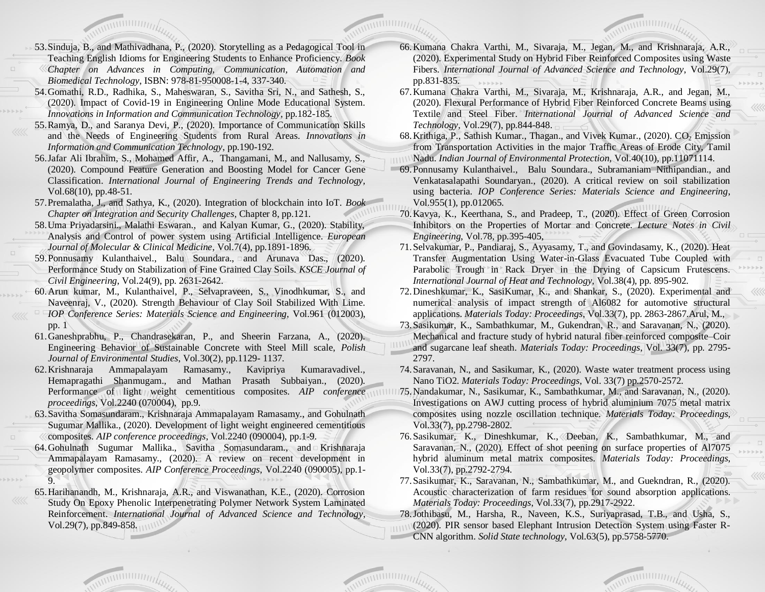- 53.Sinduja, B., and Mathivadhana, P., (2020). Storytelling as a Pedagogical Tool in Teaching English Idioms for Engineering Students to Enhance Proficiency*. Book Chapter on Advances in Computing, Communication, Automation and Biomedical Technology*, ISBN: 978-81-950008-1-4, 337-340.
- 54.Gomathi, R.D., Radhika, S., Maheswaran, S., Savitha Sri, N., and Sathesh, S., (2020). Impact of Covid-19 in Engineering Online Mode Educational System. *Innovations in Information and Communication Technology*, pp.182-185.
- 55.Ramya, D., and Saranya Devi, P., (2020). Importance of Communication Skills and the Needs of Engineering Students from Rural Areas. *Innovations in Information and Communication Technology*, pp.190-192.
- 56.Jafar Ali Ibrahim, S., Mohamed Affir, A., Thangamani, M., and Nallusamy, S., (2020). Compound Feature Generation and Boosting Model for Cancer Gene Classification. *International Journal of Engineering Trends and Technology,* Vol.68(10), pp.48-51.
- 57.Premalatha, J., and Sathya, K., (2020). Integration of blockchain into IoT. *Book Chapter on Integration and Security Challenges,* Chapter 8, pp.121.
- 58.Uma Priyadarsini., Malathi Eswaran., and Kalyan Kumar, G., (2020). Stability, Analysis and Control of power system using Artificial Intelligence. *European Journal of Molecular & Clinical Medicine*, Vol.7(4), pp.1891-1896.
- 59. Ponnusamy Kulanthaivel., Balu Soundara., and Arunava Das., (2020). Performance Study on Stabilization of Fine Grained Clay Soils. *KSCE Journal of Civil Engineering*, Vol.24(9), pp. 2631-2642.
- 60.Arun kumar, M., Kulanthaivel, P., Selvapraveen, S., Vinodhkumar, S., and Naveenraj, V., (2020). Strength Behaviour of Clay Soil Stabilized With Lime. *IOP Conference Series: Materials Science and Engineering*, Vol.961 (012003), pp. 1
- 61.Ganeshprabhu, P., Chandrasekaran, P., and Sheerin Farzana, A., (2020). Engineering Behavior of Sustainable Concrete with Steel Mill scale, *Polish Journal of Environmental Studies*, Vol.30(2), pp.1129- 1137.
- 62.Krishnaraja Ammapalayam Ramasamy., Kavipriya Kumaravadivel., Hemapragathi Shanmugam., and Mathan Prasath Subbaiyan., (2020). Performance of light weight cementitious composites. *AIP conference proceedings*, Vol.2240 (070004), pp.9.
- 63.Savitha Somasundaram., Krishnaraja Ammapalayam Ramasamy., and Gohulnath Sugumar Mallika., (2020). Development of light weight engineered cementitious composites. *AIP conference proceedings*, Vol.2240 (090004), pp.1-9.
- 64.Gohulnath Sugumar Mallika., Savitha Somasundaram., and Krishnaraja Ammapalayam Ramasamy., (2020). A review on recent development in geopolymer composites. *AIP Conference Proceedings*, Vol.2240 (090005), pp.1- 9.
- 65.Harihanandh, M., Krishnaraja, A.R., and Viswanathan, K.E., (2020). Corrosion Study On Epoxy Phenolic Interpenetrating Polymer Network System Laminated Reinforcement. *International Journal of Advanced Science and Technology*, Vol.29(7), pp.849-858.
- 66.Kumana Chakra Varthi, M., Sivaraja, M., Jegan, M., and Krishnaraja, A.R., (2020). Experimental Study on Hybrid Fiber Reinforced Composites using Waste Fibers. *International Journal of Advanced Science and Technology*, Vol.29(7), pp.831-835.
- 67.Kumana Chakra Varthi, M., Sivaraja, M., Krishnaraja, A.R., and Jegan, M., (2020). Flexural Performance of Hybrid Fiber Reinforced Concrete Beams using Textile and Steel Fiber. *International Journal of Advanced Science and Technology*, Vol.29(7), pp.844-848.
- 68. Krithiga, P., Sathish Kumar., Thagan., and Vivek Kumar., (2020).  $CO_2$  Emission from Transportation Activities in the major Traffic Areas of Erode City, Tamil Nadu. *Indian Journal of Environmental Protection*, Vol.40(10), pp.11071114.
- 69.Ponnusamy Kulanthaivel., Balu Soundara., Subramaniam Nithipandian., and Venkatasalapathi Soundaryan., (2020). A critical review on soil stabilization using bacteria. *IOP Conference Series: Materials Science and Engineering*, Vol.955(1), pp.012065.
- 70.Kavya, K., Keerthana, S., and Pradeep, T., (2020). Effect of Green Corrosion Inhibitors on the Properties of Mortar and Concrete. *Lecture Notes in Civil Engineering*, Vol.78, pp.395-405,
- 71.Selvakumar, P., Pandiaraj, S., Ayyasamy, T., and Govindasamy, K., (2020). Heat Transfer Augmentation Using Water-in-Glass Evacuated Tube Coupled with Parabolic Trough in Rack Dryer in the Drying of Capsicum Frutescens. *International Journal of Heat and Technology,* Vol.38(4), pp. 895-902.
- 72.Dineshkumar, K., SasiKumar, K., and Shankar, S., (2020). Experimental and numerical analysis of impact strength of Al6082 for automotive structural applications. *Materials Today: Proceedings*, Vol.33(7), pp. 2863-2867.Arul, M.,
- 73.Sasikumar, K., Sambathkumar, M., Gukendran, R., and Saravanan, N., (2020). Mechanical and fracture study of hybrid natural fiber reinforced composite–Coir
- and sugarcane leaf sheath. *Materials Today: Proceedings*, Vol. 33(7), pp. 2795- 2797.
- 74.Saravanan, N., and Sasikumar, K., (2020). Waste water treatment process using Nano TiO2. *Materials Today: Proceedings*, Vol. 33(7) pp.2570-2572.
- 75.Nandakumar, N., Sasikumar, K., Sambathkumar, M., and Saravanan, N., (2020). Investigations on AWJ cutting process of hybrid aluminium 7075 metal matrix composites using nozzle oscillation technique. *Materials Today: Proceedings*, Vol.33(7), pp.2798-2802.
- 76.Sasikumar, K., Dineshkumar, K., Deeban, K., Sambathkumar, M., and Saravanan, N., (2020). Effect of shot peening on surface properties of Al7075 hybrid aluminum metal matrix composites. *Materials Today: Proceedings*, Vol.33(7), pp.2792-2794.
- 77.Sasikumar, K., Saravanan, N., Sambathkumar, M., and Guekndran, R., (2020). Acoustic characterization of farm residues for sound absorption applications. *Materials Today: Proceedings*, Vol.33(7), pp.2917-2922.

78.Jothibasu, M., Harsha, R., Naveen, K.S., Suriyaprasad, T.B., and Usha, S., (2020). PIR sensor based Elephant Intrusion Detection System using Faster R-CNN algorithm. *Solid State technology*, Vol.63(5), pp.5758-5770.